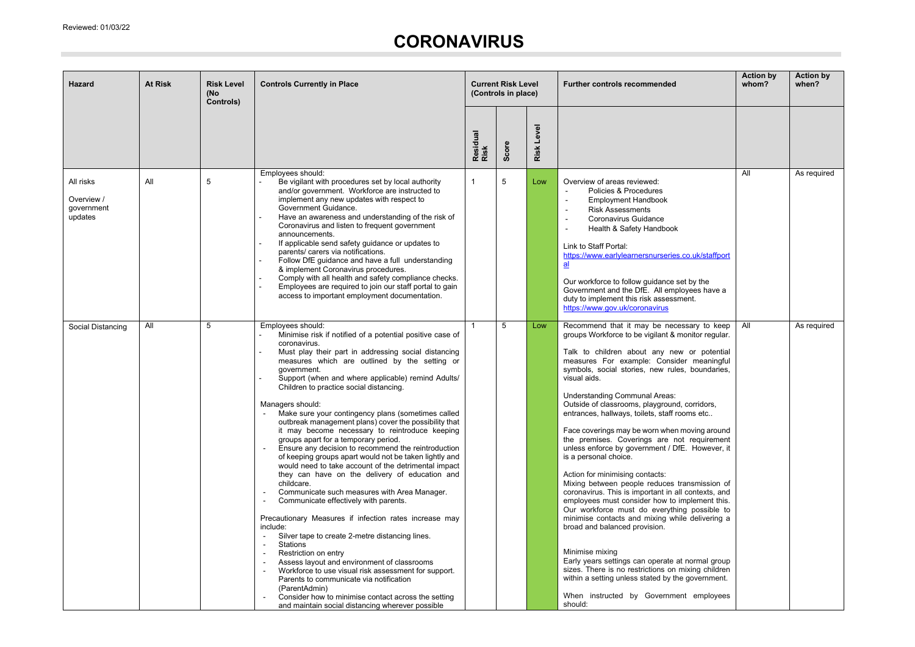**College** 

## **CORONAVIRUS**

| Hazard                                           | <b>At Risk</b> | <b>Risk Level</b><br>(No<br>Controls) | <b>Controls Currently in Place</b>                                                                                                                                                                                                                                                                                                                                                                                                                                                                                                                                                                                                                                                                                                                                                                                                                                                                                                                                                                                                                                                                                                                                                                                                                                                                                                                                                                | <b>Current Risk Level</b><br>(Controls in place) |       | <b>Further controls recommended</b> |                                                                                                                                                                                                                                                                                                                                                                                                                                                                                                                                                                                                                                                                                                                                                                                                                                                                                                                                                                                                                                                                                                                                                                | <b>Action by</b><br>whom? | <b>Action by</b><br>when? |
|--------------------------------------------------|----------------|---------------------------------------|---------------------------------------------------------------------------------------------------------------------------------------------------------------------------------------------------------------------------------------------------------------------------------------------------------------------------------------------------------------------------------------------------------------------------------------------------------------------------------------------------------------------------------------------------------------------------------------------------------------------------------------------------------------------------------------------------------------------------------------------------------------------------------------------------------------------------------------------------------------------------------------------------------------------------------------------------------------------------------------------------------------------------------------------------------------------------------------------------------------------------------------------------------------------------------------------------------------------------------------------------------------------------------------------------------------------------------------------------------------------------------------------------|--------------------------------------------------|-------|-------------------------------------|----------------------------------------------------------------------------------------------------------------------------------------------------------------------------------------------------------------------------------------------------------------------------------------------------------------------------------------------------------------------------------------------------------------------------------------------------------------------------------------------------------------------------------------------------------------------------------------------------------------------------------------------------------------------------------------------------------------------------------------------------------------------------------------------------------------------------------------------------------------------------------------------------------------------------------------------------------------------------------------------------------------------------------------------------------------------------------------------------------------------------------------------------------------|---------------------------|---------------------------|
|                                                  |                |                                       |                                                                                                                                                                                                                                                                                                                                                                                                                                                                                                                                                                                                                                                                                                                                                                                                                                                                                                                                                                                                                                                                                                                                                                                                                                                                                                                                                                                                   | Residual<br>Risk                                 | Score | Level<br>Risk                       |                                                                                                                                                                                                                                                                                                                                                                                                                                                                                                                                                                                                                                                                                                                                                                                                                                                                                                                                                                                                                                                                                                                                                                |                           |                           |
| All risks<br>Overview /<br>government<br>updates | All            | 5                                     | Employees should:<br>Be vigilant with procedures set by local authority<br>and/or government. Workforce are instructed to<br>implement any new updates with respect to<br>Government Guidance.<br>Have an awareness and understanding of the risk of<br>Coronavirus and listen to frequent government<br>announcements.<br>If applicable send safety guidance or updates to<br>parents/ carers via notifications.<br>Follow DfE guidance and have a full understanding<br>& implement Coronavirus procedures.<br>Comply with all health and safety compliance checks.<br>Employees are required to join our staff portal to gain<br>access to important employment documentation.                                                                                                                                                                                                                                                                                                                                                                                                                                                                                                                                                                                                                                                                                                                 | $\mathbf{1}$                                     | 5     | Low                                 | Overview of areas reviewed:<br>Policies & Procedures<br><b>Employment Handbook</b><br>$\overline{\phantom{a}}$<br><b>Risk Assessments</b><br>Coronavirus Guidance<br>Health & Safety Handbook<br>$\overline{\phantom{a}}$<br>Link to Staff Portal:<br>https://www.earlylearnersnurseries.co.uk/staffport<br>$\underline{\mathbf{a}}$<br>Our workforce to follow guidance set by the<br>Government and the DfE. All employees have a<br>duty to implement this risk assessment.<br>https://www.gov.uk/coronavirus                                                                                                                                                                                                                                                                                                                                                                                                                                                                                                                                                                                                                                               | All                       | As required               |
| Social Distancing                                | All            | 5                                     | Employees should:<br>Minimise risk if notified of a potential positive case of<br>coronavirus.<br>Must play their part in addressing social distancing<br>measures which are outlined by the setting or<br>government.<br>Support (when and where applicable) remind Adults/<br>Children to practice social distancing.<br>Managers should:<br>Make sure your contingency plans (sometimes called<br>outbreak management plans) cover the possibility that<br>it may become necessary to reintroduce keeping<br>groups apart for a temporary period.<br>Ensure any decision to recommend the reintroduction<br>of keeping groups apart would not be taken lightly and<br>would need to take account of the detrimental impact<br>they can have on the delivery of education and<br>childcare.<br>Communicate such measures with Area Manager.<br>Communicate effectively with parents.<br>$\blacksquare$<br>Precautionary Measures if infection rates increase may<br>include:<br>Silver tape to create 2-metre distancing lines.<br>$\overline{\phantom{a}}$<br>Stations<br>$\blacksquare$<br>Restriction on entry<br>Assess layout and environment of classrooms<br>Workforce to use visual risk assessment for support.<br>Parents to communicate via notification<br>(ParentAdmin)<br>Consider how to minimise contact across the setting<br>and maintain social distancing wherever possible | $\mathbf{1}$                                     | 5     | Low                                 | Recommend that it may be necessary to keep<br>groups Workforce to be vigilant & monitor regular.<br>Talk to children about any new or potential<br>measures For example: Consider meaningful<br>symbols, social stories, new rules, boundaries,<br>visual aids.<br><b>Understanding Communal Areas:</b><br>Outside of classrooms, playground, corridors,<br>entrances, hallways, toilets, staff rooms etc<br>Face coverings may be worn when moving around<br>the premises. Coverings are not requirement<br>unless enforce by government / DfE. However, it<br>is a personal choice.<br>Action for minimising contacts:<br>Mixing between people reduces transmission of<br>coronavirus. This is important in all contexts, and<br>employees must consider how to implement this.<br>Our workforce must do everything possible to<br>minimise contacts and mixing while delivering a<br>broad and balanced provision.<br>Minimise mixing<br>Early years settings can operate at normal group<br>sizes. There is no restrictions on mixing children<br>within a setting unless stated by the government.<br>When instructed by Government employees<br>should: | All                       | As required               |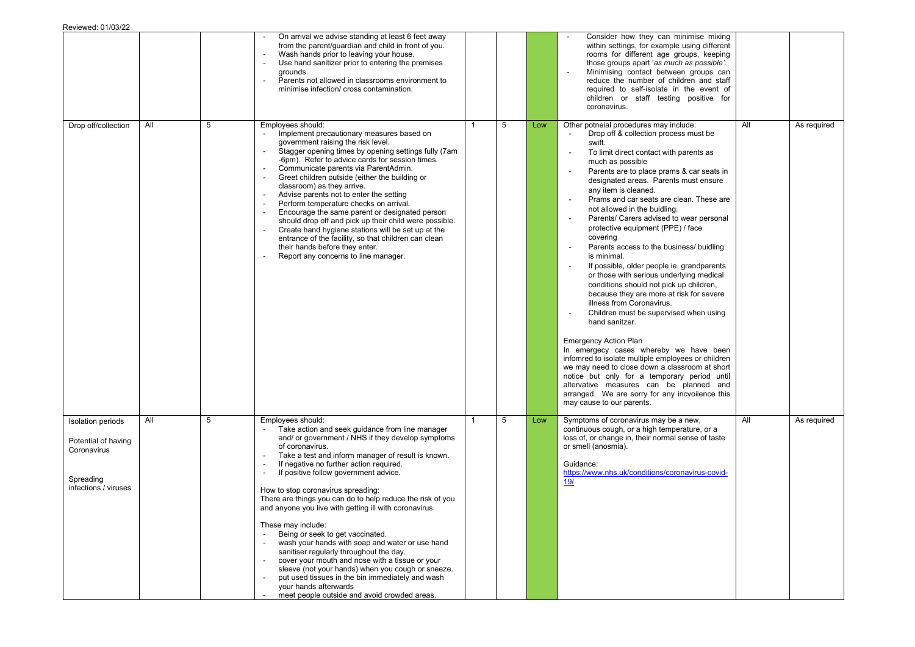|                                                                                                     |     |   | On arrival we advise standing at least 6 feet away<br>from the parent/guardian and child in front of you.<br>Wash hands prior to leaving your house.<br>Use hand sanitizer prior to entering the premises<br>grounds.<br>Parents not allowed in classrooms environment to<br>minimise infection/ cross contamination.                                                                                                                                                                                                                                                                                                                                                                                                                                                                                                                             |   |   |     | Consider how they can minimise mixing<br>within settings, for example using different<br>rooms for different age groups, keeping<br>those groups apart 'as much as possible'.<br>Minimising contact between groups can<br>$\overline{\phantom{a}}$<br>reduce the number of children and staff<br>required to self-isolate in the event of<br>children or staff testing positive for<br>coronavirus.                                                                                                                                                                                                                                                                                                                                                                                                                                                                                                                                                                                                                                                                                                                                                                                                       |     |             |
|-----------------------------------------------------------------------------------------------------|-----|---|---------------------------------------------------------------------------------------------------------------------------------------------------------------------------------------------------------------------------------------------------------------------------------------------------------------------------------------------------------------------------------------------------------------------------------------------------------------------------------------------------------------------------------------------------------------------------------------------------------------------------------------------------------------------------------------------------------------------------------------------------------------------------------------------------------------------------------------------------|---|---|-----|-----------------------------------------------------------------------------------------------------------------------------------------------------------------------------------------------------------------------------------------------------------------------------------------------------------------------------------------------------------------------------------------------------------------------------------------------------------------------------------------------------------------------------------------------------------------------------------------------------------------------------------------------------------------------------------------------------------------------------------------------------------------------------------------------------------------------------------------------------------------------------------------------------------------------------------------------------------------------------------------------------------------------------------------------------------------------------------------------------------------------------------------------------------------------------------------------------------|-----|-------------|
| Drop off/collection                                                                                 | All | 5 | Employees should:<br>Implement precautionary measures based on<br>$\blacksquare$<br>government raising the risk level.<br>Stagger opening times by opening settings fully (7am<br>-6pm). Refer to advice cards for session times.<br>Communicate parents via ParentAdmin.<br>Greet children outside (either the building or<br>classroom) as they arrive.<br>Advise parents not to enter the setting<br>Perform temperature checks on arrival.<br>Encourage the same parent or designated person<br>should drop off and pick up their child were possible.<br>Create hand hygiene stations will be set up at the<br>entrance of the facility, so that children can clean<br>their hands before they enter.<br>Report any concerns to line manager.                                                                                                | 1 | 5 | Low | Other potneial procedures may include:<br>Drop off & collection process must be<br>swift.<br>To limit direct contact with parents as<br>$\overline{\phantom{a}}$<br>much as possible<br>Parents are to place prams & car seats in<br>designated areas. Parents must ensure<br>any item is cleaned.<br>Prams and car seats are clean. These are<br>not allowed in the buidling.<br>Parents/ Carers advised to wear personal<br>protective equipment (PPE) / face<br>covering<br>Parents access to the business/ buidling<br>$\overline{\phantom{a}}$<br>is minimal.<br>If possible, older people ie. grandparents<br>or those with serious underlying medical<br>conditions should not pick up children,<br>because they are more at risk for severe<br>illness from Coronavirus.<br>Children must be supervised when using<br>hand sanitzer.<br><b>Emergency Action Plan</b><br>In emergecy cases whereby we have been<br>infomred to isolate multiple employees or children<br>we may need to close down a classroom at short<br>notice but only for a temporary period until<br>altervative measures can be planned and<br>arranged. We are sorry for any incvollence this<br>may cause to our parents. | All | As required |
| <b>Isolation periods</b><br>Potential of having<br>Coronavirus<br>Spreading<br>infections / viruses | All | 5 | Employees should:<br>Take action and seek guidance from line manager<br>and/ or government / NHS if they develop symptoms<br>of coronavirus.<br>Take a test and inform manager of result is known.<br>If negative no further action required.<br>If positive follow government advice.<br>How to stop coronavirus spreading:<br>There are things you can do to help reduce the risk of you<br>and anyone you live with getting ill with coronavirus.<br>These may include:<br>Being or seek to get vaccinated.<br>wash your hands with soap and water or use hand<br>sanitiser regularly throughout the day.<br>cover your mouth and nose with a tissue or your<br>sleeve (not your hands) when you cough or sneeze.<br>put used tissues in the bin immediately and wash<br>your hands afterwards<br>meet people outside and avoid crowded areas. |   | 5 | Low | Symptoms of coronavirus may be a new,<br>continuous cough, or a high temperature, or a<br>loss of, or change in, their normal sense of taste<br>or smell (anosmia).<br>Guidance:<br>https://www.nhs.uk/conditions/coronavirus-covid-<br><u>19/</u>                                                                                                                                                                                                                                                                                                                                                                                                                                                                                                                                                                                                                                                                                                                                                                                                                                                                                                                                                        | All | As required |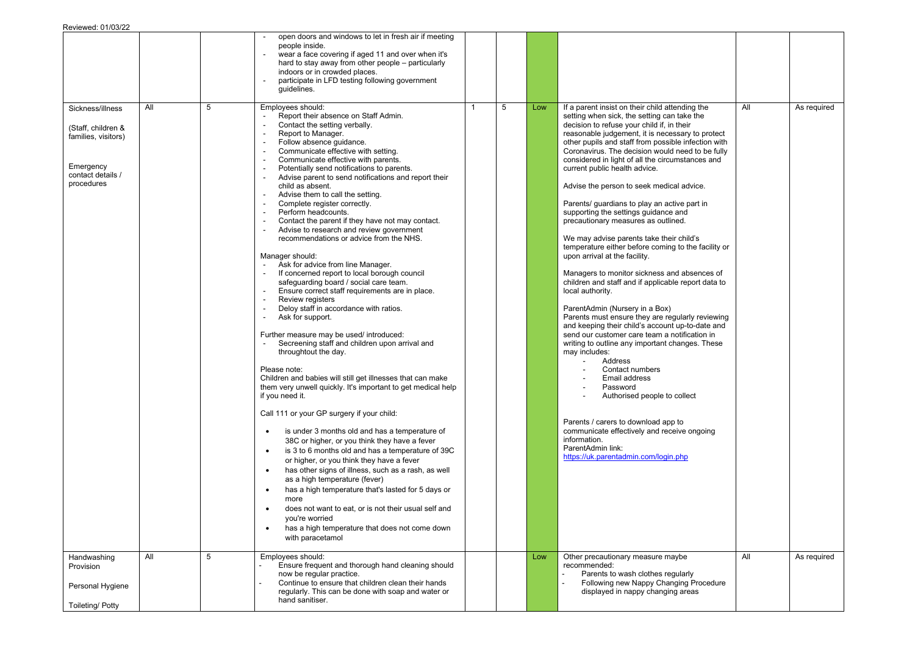|                                                                                                               |     |   | open doors and windows to let in fresh air if meeting<br>people inside.<br>wear a face covering if aged 11 and over when it's<br>hard to stay away from other people - particularly<br>indoors or in crowded places.<br>participate in LFD testing following government<br>quidelines.                                                                                                                                                                                                                                                                                                                                                                                                                                                                                                                                                                                                                                                                                                                                                                                                                                                                                                                                                                                                                                                                                                                                                                                                                                                                                                                                                                                                                                                                                                                                                                                                                                |              |   |     |                                                                                                                                                                                                                                                                                                                                                                                                                                                                                                                                                                                                                                                                                                                                                                                                                                                                                                                                                                                                                                                                                                                                                                                                                                                                                                                                                                          |     |             |
|---------------------------------------------------------------------------------------------------------------|-----|---|-----------------------------------------------------------------------------------------------------------------------------------------------------------------------------------------------------------------------------------------------------------------------------------------------------------------------------------------------------------------------------------------------------------------------------------------------------------------------------------------------------------------------------------------------------------------------------------------------------------------------------------------------------------------------------------------------------------------------------------------------------------------------------------------------------------------------------------------------------------------------------------------------------------------------------------------------------------------------------------------------------------------------------------------------------------------------------------------------------------------------------------------------------------------------------------------------------------------------------------------------------------------------------------------------------------------------------------------------------------------------------------------------------------------------------------------------------------------------------------------------------------------------------------------------------------------------------------------------------------------------------------------------------------------------------------------------------------------------------------------------------------------------------------------------------------------------------------------------------------------------------------------------------------------------|--------------|---|-----|--------------------------------------------------------------------------------------------------------------------------------------------------------------------------------------------------------------------------------------------------------------------------------------------------------------------------------------------------------------------------------------------------------------------------------------------------------------------------------------------------------------------------------------------------------------------------------------------------------------------------------------------------------------------------------------------------------------------------------------------------------------------------------------------------------------------------------------------------------------------------------------------------------------------------------------------------------------------------------------------------------------------------------------------------------------------------------------------------------------------------------------------------------------------------------------------------------------------------------------------------------------------------------------------------------------------------------------------------------------------------|-----|-------------|
| Sickness/illness<br>(Staff, children &<br>families, visitors)<br>Emergency<br>contact details /<br>procedures | All | 5 | Employees should:<br>Report their absence on Staff Admin.<br>Contact the setting verbally.<br>$\overline{\phantom{a}}$<br>Report to Manager.<br>$\blacksquare$<br>Follow absence quidance.<br>Communicate effective with setting.<br>Communicate effective with parents.<br>$\blacksquare$<br>Potentially send notifications to parents.<br>Advise parent to send notifications and report their<br>child as absent.<br>Advise them to call the setting.<br>Complete register correctly.<br>Perform headcounts.<br>Contact the parent if they have not may contact.<br>Advise to research and review government<br>recommendations or advice from the NHS.<br>Manager should:<br>Ask for advice from line Manager.<br>If concerned report to local borough council<br>safeguarding board / social care team.<br>Ensure correct staff requirements are in place.<br>$\blacksquare$<br>Review registers<br>Deloy staff in accordance with ratios.<br>Ask for support.<br>$\overline{\phantom{a}}$<br>Further measure may be used/ introduced:<br>Secreening staff and children upon arrival and<br>throughtout the day.<br>Please note:<br>Children and babies will still get illnesses that can make<br>them very unwell quickly. It's important to get medical help<br>if you need it.<br>Call 111 or your GP surgery if your child:<br>is under 3 months old and has a temperature of<br>$\bullet$<br>38C or higher, or you think they have a fever<br>is 3 to 6 months old and has a temperature of 39C<br>$\bullet$<br>or higher, or you think they have a fever<br>has other signs of illness, such as a rash, as well<br>$\bullet$<br>as a high temperature (fever)<br>has a high temperature that's lasted for 5 days or<br>$\bullet$<br>more<br>does not want to eat, or is not their usual self and<br>٠<br>you're worried<br>has a high temperature that does not come down<br>$\bullet$<br>with paracetamol | $\mathbf{1}$ | 5 | Low | If a parent insist on their child attending the<br>setting when sick, the setting can take the<br>decision to refuse your child if, in their<br>reasonable judgement, it is necessary to protect<br>other pupils and staff from possible infection with<br>Coronavirus. The decision would need to be fully<br>considered in light of all the circumstances and<br>current public health advice.<br>Advise the person to seek medical advice.<br>Parents/ guardians to play an active part in<br>supporting the settings guidance and<br>precautionary measures as outlined.<br>We may advise parents take their child's<br>temperature either before coming to the facility or<br>upon arrival at the facility.<br>Managers to monitor sickness and absences of<br>children and staff and if applicable report data to<br>local authority.<br>ParentAdmin (Nursery in a Box)<br>Parents must ensure they are regularly reviewing<br>and keeping their child's account up-to-date and<br>send our customer care team a notification in<br>writing to outline any important changes. These<br>may includes:<br>Address<br>Contact numbers<br>Email address<br>Password<br>Authorised people to collect<br>Parents / carers to download app to<br>communicate effectively and receive ongoing<br>information.<br>ParentAdmin link:<br>https://uk.parentadmin.com/login.php | All | As required |
| Handwashing<br>Provision<br>Personal Hygiene<br><b>Toileting/ Potty</b>                                       | All | 5 | Employees should:<br>Ensure frequent and thorough hand cleaning should<br>now be regular practice.<br>Continue to ensure that children clean their hands<br>regularly. This can be done with soap and water or<br>hand sanitiser.                                                                                                                                                                                                                                                                                                                                                                                                                                                                                                                                                                                                                                                                                                                                                                                                                                                                                                                                                                                                                                                                                                                                                                                                                                                                                                                                                                                                                                                                                                                                                                                                                                                                                     |              |   | Low | Other precautionary measure maybe<br>recommended:<br>Parents to wash clothes regularly<br>$\mathbb{Z}^2$<br>Following new Nappy Changing Procedure<br>displayed in nappy changing areas                                                                                                                                                                                                                                                                                                                                                                                                                                                                                                                                                                                                                                                                                                                                                                                                                                                                                                                                                                                                                                                                                                                                                                                  | All | As required |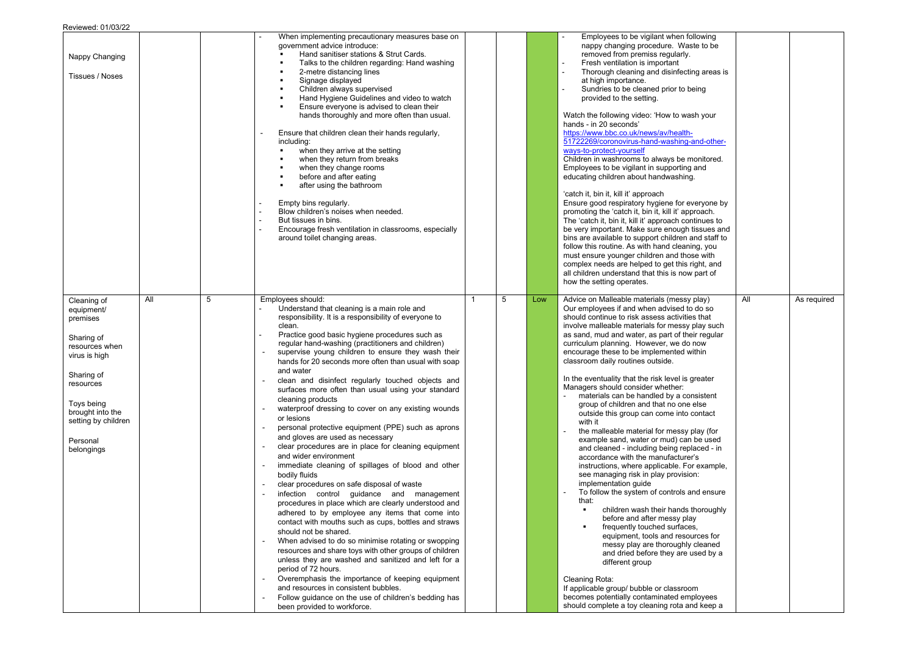| Nappy Changing<br>Tissues / Noses                                                                                                                                                                    |     |   | When implementing precautionary measures base on<br>government advice introduce:<br>Hand sanitiser stations & Strut Cards.<br>Talks to the children regarding: Hand washing<br>2-metre distancing lines<br>Signage displayed<br>×<br>Children always supervised<br>Hand Hygiene Guidelines and video to watch<br>×<br>Ensure everyone is advised to clean their<br>$\blacksquare$<br>hands thoroughly and more often than usual.<br>Ensure that children clean their hands regularly,<br>including:<br>when they arrive at the setting<br>when they return from breaks<br>when they change rooms<br>before and after eating<br>after using the bathroom<br>Empty bins regularly.<br>Blow children's noises when needed.<br>But tissues in bins.<br>Encourage fresh ventilation in classrooms, especially<br>around toilet changing areas.                                                                                                                                                                                                                                                                                                                                                                                                                                                                                                                                                                                                                                                             |    |   |     | Employees to be vigilant when following<br>nappy changing procedure. Waste to be<br>removed from premiss regularly.<br>Fresh ventilation is important<br>$\sim$<br>$\mathbb{L}$<br>Thorough cleaning and disinfecting areas is<br>at high importance.<br>Sundries to be cleaned prior to being<br>provided to the setting.<br>Watch the following video: 'How to wash your<br>hands - in 20 seconds'<br>https://www.bbc.co.uk/news/av/health-<br>51722269/coronovirus-hand-washing-and-other-<br>ways-to-protect-yourself<br>Children in washrooms to always be monitored.<br>Employees to be vigilant in supporting and<br>educating children about handwashing.<br>'catch it, bin it, kill it' approach<br>Ensure good respiratory hygiene for everyone by<br>promoting the 'catch it, bin it, kill it' approach.<br>The 'catch it, bin it, kill it' approach continues to<br>be very important. Make sure enough tissues and<br>bins are available to support children and staff to<br>follow this routine. As with hand cleaning, you<br>must ensure younger children and those with<br>complex needs are helped to get this right, and<br>all children understand that this is now part of<br>how the setting operates.                                                                                                                                                                           |     |             |
|------------------------------------------------------------------------------------------------------------------------------------------------------------------------------------------------------|-----|---|-------------------------------------------------------------------------------------------------------------------------------------------------------------------------------------------------------------------------------------------------------------------------------------------------------------------------------------------------------------------------------------------------------------------------------------------------------------------------------------------------------------------------------------------------------------------------------------------------------------------------------------------------------------------------------------------------------------------------------------------------------------------------------------------------------------------------------------------------------------------------------------------------------------------------------------------------------------------------------------------------------------------------------------------------------------------------------------------------------------------------------------------------------------------------------------------------------------------------------------------------------------------------------------------------------------------------------------------------------------------------------------------------------------------------------------------------------------------------------------------------------|----|---|-----|--------------------------------------------------------------------------------------------------------------------------------------------------------------------------------------------------------------------------------------------------------------------------------------------------------------------------------------------------------------------------------------------------------------------------------------------------------------------------------------------------------------------------------------------------------------------------------------------------------------------------------------------------------------------------------------------------------------------------------------------------------------------------------------------------------------------------------------------------------------------------------------------------------------------------------------------------------------------------------------------------------------------------------------------------------------------------------------------------------------------------------------------------------------------------------------------------------------------------------------------------------------------------------------------------------------------------------------------------------------------------------------------------------|-----|-------------|
| Cleaning of<br>equipment/<br>premises<br>Sharing of<br>resources when<br>virus is high<br>Sharing of<br>resources<br>Toys being<br>brought into the<br>setting by children<br>Personal<br>belongings | All | 5 | Employees should:<br>Understand that cleaning is a main role and<br>responsibility. It is a responsibility of everyone to<br>clean.<br>Practice good basic hygiene procedures such as<br>regular hand-washing (practitioners and children)<br>supervise young children to ensure they wash their<br>hands for 20 seconds more often than usual with soap<br>and water<br>clean and disinfect regularly touched objects and<br>surfaces more often than usual using your standard<br>cleaning products<br>waterproof dressing to cover on any existing wounds<br>or lesions<br>personal protective equipment (PPE) such as aprons<br>and gloves are used as necessary<br>clear procedures are in place for cleaning equipment<br>and wider environment<br>immediate cleaning of spillages of blood and other<br>bodily fluids<br>clear procedures on safe disposal of waste<br>infection control guidance and management<br>procedures in place which are clearly understood and<br>adhered to by employee any items that come into<br>contact with mouths such as cups, bottles and straws<br>should not be shared.<br>When advised to do so minimise rotating or swopping<br>resources and share toys with other groups of children<br>unless they are washed and sanitized and left for a<br>period of 72 hours.<br>Overemphasis the importance of keeping equipment<br>and resources in consistent bubbles.<br>Follow guidance on the use of children's bedding has<br>been provided to workforce. | -1 | 5 | Low | Advice on Malleable materials (messy play)<br>Our employees if and when advised to do so<br>should continue to risk assess activities that<br>involve malleable materials for messy play such<br>as sand, mud and water, as part of their regular<br>curriculum planning. However, we do now<br>encourage these to be implemented within<br>classroom daily routines outside.<br>In the eventuality that the risk level is greater<br>Managers should consider whether:<br>materials can be handled by a consistent<br>group of children and that no one else<br>outside this group can come into contact<br>with it<br>the malleable material for messy play (for<br>example sand, water or mud) can be used<br>and cleaned - including being replaced - in<br>accordance with the manufacturer's<br>instructions, where applicable. For example,<br>see managing risk in play provision:<br>implementation guide<br>To follow the system of controls and ensure<br>that:<br>$\blacksquare$<br>children wash their hands thoroughly<br>before and after messy play<br>frequently touched surfaces,<br>equipment, tools and resources for<br>messy play are thoroughly cleaned<br>and dried before they are used by a<br>different group<br>Cleaning Rota:<br>If applicable group/ bubble or classroom<br>becomes potentially contaminated employees<br>should complete a toy cleaning rota and keep a | All | As required |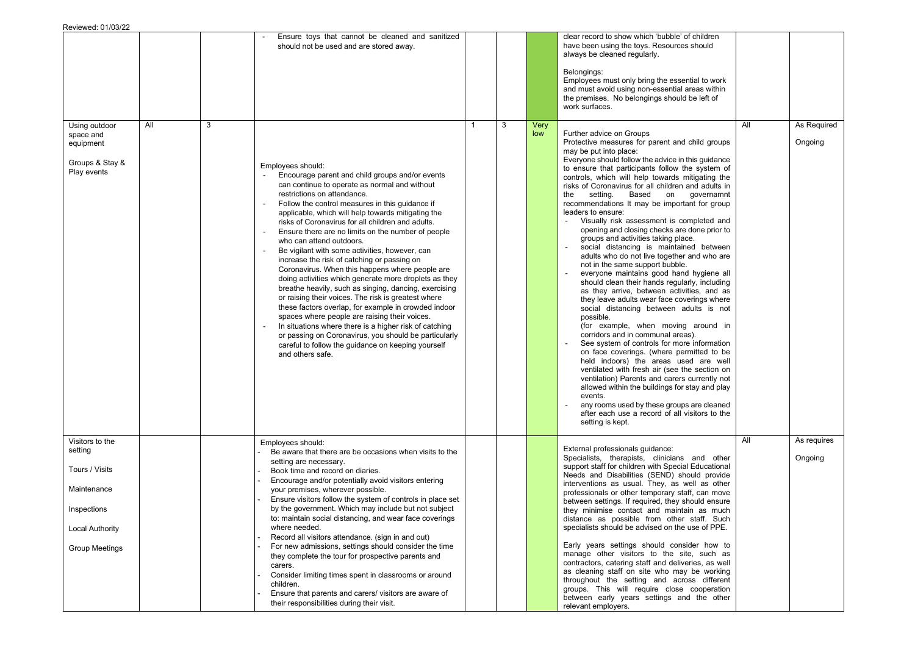|     |   | Ensure toys that cannot be cleaned and sanitized<br>should not be used and are stored away.                                                                                                                                                                                                                                                                                                                                                                                                                                                                                                                                                                                                                                                                                                                                                                                                                                                                                                                                             |                                                         |   |             | clear record to show which 'bubble' of children<br>have been using the toys. Resources should<br>always be cleaned regularly.<br>Belongings:<br>Employees must only bring the essential to work<br>and must avoid using non-essential areas within<br>the premises. No belongings should be left of<br>work surfaces.                                                                                                                                                                                                                                                                                                                                                                                                                                                                                                                                                                                                                                                                                                                                                                                                                                                                                                                                                                                                                                                                                                                                              |                                  |                        |
|-----|---|-----------------------------------------------------------------------------------------------------------------------------------------------------------------------------------------------------------------------------------------------------------------------------------------------------------------------------------------------------------------------------------------------------------------------------------------------------------------------------------------------------------------------------------------------------------------------------------------------------------------------------------------------------------------------------------------------------------------------------------------------------------------------------------------------------------------------------------------------------------------------------------------------------------------------------------------------------------------------------------------------------------------------------------------|---------------------------------------------------------|---|-------------|--------------------------------------------------------------------------------------------------------------------------------------------------------------------------------------------------------------------------------------------------------------------------------------------------------------------------------------------------------------------------------------------------------------------------------------------------------------------------------------------------------------------------------------------------------------------------------------------------------------------------------------------------------------------------------------------------------------------------------------------------------------------------------------------------------------------------------------------------------------------------------------------------------------------------------------------------------------------------------------------------------------------------------------------------------------------------------------------------------------------------------------------------------------------------------------------------------------------------------------------------------------------------------------------------------------------------------------------------------------------------------------------------------------------------------------------------------------------|----------------------------------|------------------------|
| All | 3 | Employees should:<br>Encourage parent and child groups and/or events<br>can continue to operate as normal and without<br>restrictions on attendance.<br>Follow the control measures in this guidance if<br>applicable, which will help towards mitigating the<br>risks of Coronavirus for all children and adults.<br>Ensure there are no limits on the number of people<br>who can attend outdoors.<br>Be vigilant with some activities, however, can<br>increase the risk of catching or passing on<br>Coronavirus. When this happens where people are<br>doing activities which generate more droplets as they<br>breathe heavily, such as singing, dancing, exercising<br>or raising their voices. The risk is greatest where<br>these factors overlap, for example in crowded indoor<br>spaces where people are raising their voices.<br>In situations where there is a higher risk of catching<br>or passing on Coronavirus, you should be particularly<br>careful to follow the guidance on keeping yourself<br>and others safe. |                                                         | 3 | Very<br>low | Further advice on Groups<br>Protective measures for parent and child groups<br>may be put into place:<br>Everyone should follow the advice in this guidance<br>to ensure that participants follow the system of<br>controls, which will help towards mitigating the<br>risks of Coronavirus for all children and adults in<br>setting.<br>Based on governamnt<br>the<br>recommendations It may be important for group<br>leaders to ensure:<br>Visually risk assessment is completed and<br>opening and closing checks are done prior to<br>groups and activities taking place.<br>social distancing is maintained between<br>adults who do not live together and who are<br>not in the same support bubble.<br>everyone maintains good hand hygiene all<br>should clean their hands regularly, including<br>as they arrive, between activities, and as<br>they leave adults wear face coverings where<br>social distancing between adults is not<br>possible.<br>(for example, when moving around in<br>corridors and in communal areas).<br>See system of controls for more information<br>on face coverings. (where permitted to be<br>held indoors) the areas used are well<br>ventilated with fresh air (see the section on<br>ventilation) Parents and carers currently not<br>allowed within the buildings for stay and play<br>events.<br>any rooms used by these groups are cleaned<br>after each use a record of all visitors to the<br>setting is kept. | All                              | As Required<br>Ongoing |
|     |   | Employees should:                                                                                                                                                                                                                                                                                                                                                                                                                                                                                                                                                                                                                                                                                                                                                                                                                                                                                                                                                                                                                       |                                                         |   |             |                                                                                                                                                                                                                                                                                                                                                                                                                                                                                                                                                                                                                                                                                                                                                                                                                                                                                                                                                                                                                                                                                                                                                                                                                                                                                                                                                                                                                                                                    | All                              | As requires            |
|     |   | setting are necessary.<br>Book time and record on diaries.<br>Encourage and/or potentially avoid visitors entering<br>your premises, wherever possible.<br>Ensure visitors follow the system of controls in place set<br>by the government. Which may include but not subject<br>to: maintain social distancing, and wear face coverings<br>where needed.<br>Record all visitors attendance. (sign in and out)<br>For new admissions, settings should consider the time<br>they complete the tour for prospective parents and<br>carers.<br>Consider limiting times spent in classrooms or around<br>children.<br>Ensure that parents and carers/visitors are aware of                                                                                                                                                                                                                                                                                                                                                                  |                                                         |   |             | Specialists, therapists, clinicians and other<br>support staff for children with Special Educational<br>Needs and Disabilities (SEND) should provide<br>interventions as usual. They, as well as other<br>professionals or other temporary staff, can move<br>between settings. If required, they should ensure<br>they minimise contact and maintain as much<br>distance as possible from other staff. Such<br>specialists should be advised on the use of PPE.<br>Early years settings should consider how to<br>manage other visitors to the site, such as<br>contractors, catering staff and deliveries, as well<br>as cleaning staff on site who may be working<br>throughout the setting and across different<br>groups. This will require close cooperation<br>between early years settings and the other                                                                                                                                                                                                                                                                                                                                                                                                                                                                                                                                                                                                                                                   |                                  | Ongoing                |
|     |   |                                                                                                                                                                                                                                                                                                                                                                                                                                                                                                                                                                                                                                                                                                                                                                                                                                                                                                                                                                                                                                         | Be aware that there are be occasions when visits to the |   |             |                                                                                                                                                                                                                                                                                                                                                                                                                                                                                                                                                                                                                                                                                                                                                                                                                                                                                                                                                                                                                                                                                                                                                                                                                                                                                                                                                                                                                                                                    | External professionals guidance: |                        |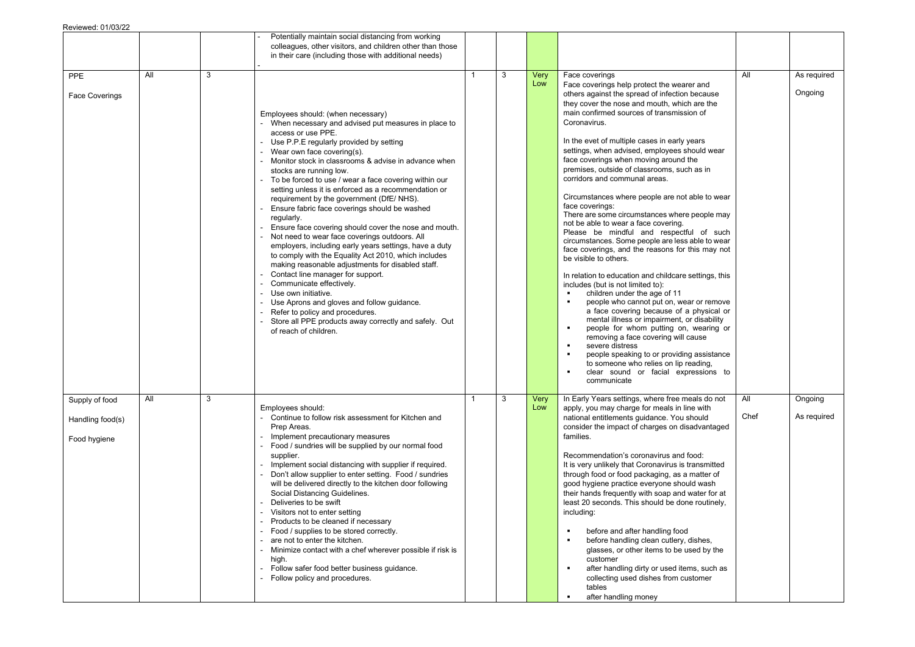|                                                    |     |   | Potentially maintain social distancing from working<br>colleagues, other visitors, and children other than those<br>in their care (including those with additional needs)                                                                                                                                                                                                                                                                                                                                                                                                                                                                                                                                                                                                                                                                                                                                                                                                                                                                                   |              |   |             |                                                                                                                                                                                                                                                                                                                                                                                                                                                                                                                                                                                                                                                                                                                                                                                                                                                                                                                                                                                                                                                                                                                                                                                                                                                                                                                                                                                        |             |                        |
|----------------------------------------------------|-----|---|-------------------------------------------------------------------------------------------------------------------------------------------------------------------------------------------------------------------------------------------------------------------------------------------------------------------------------------------------------------------------------------------------------------------------------------------------------------------------------------------------------------------------------------------------------------------------------------------------------------------------------------------------------------------------------------------------------------------------------------------------------------------------------------------------------------------------------------------------------------------------------------------------------------------------------------------------------------------------------------------------------------------------------------------------------------|--------------|---|-------------|----------------------------------------------------------------------------------------------------------------------------------------------------------------------------------------------------------------------------------------------------------------------------------------------------------------------------------------------------------------------------------------------------------------------------------------------------------------------------------------------------------------------------------------------------------------------------------------------------------------------------------------------------------------------------------------------------------------------------------------------------------------------------------------------------------------------------------------------------------------------------------------------------------------------------------------------------------------------------------------------------------------------------------------------------------------------------------------------------------------------------------------------------------------------------------------------------------------------------------------------------------------------------------------------------------------------------------------------------------------------------------------|-------------|------------------------|
| <b>PPE</b><br><b>Face Coverings</b>                | All | 3 | Employees should: (when necessary)<br>- When necessary and advised put measures in place to<br>access or use PPE.<br>- Use P.P.E regularly provided by setting<br>- Wear own face covering(s).<br>Monitor stock in classrooms & advise in advance when<br>stocks are running low.<br>- To be forced to use / wear a face covering within our<br>setting unless it is enforced as a recommendation or<br>requirement by the government (DfE/NHS).<br>Ensure fabric face coverings should be washed<br>regularly.<br>Ensure face covering should cover the nose and mouth.<br>Not need to wear face coverings outdoors. All<br>employers, including early years settings, have a duty<br>to comply with the Equality Act 2010, which includes<br>making reasonable adjustments for disabled staff.<br>Contact line manager for support.<br>Communicate effectively.<br>Use own initiative.<br>Use Aprons and gloves and follow guidance.<br>Refer to policy and procedures.<br>Store all PPE products away correctly and safely. Out<br>of reach of children. | $\mathbf{1}$ | 3 | Very<br>Low | Face coverings<br>Face coverings help protect the wearer and<br>others against the spread of infection because<br>they cover the nose and mouth, which are the<br>main confirmed sources of transmission of<br>Coronavirus.<br>In the evet of multiple cases in early years<br>settings, when advised, employees should wear<br>face coverings when moving around the<br>premises, outside of classrooms, such as in<br>corridors and communal areas.<br>Circumstances where people are not able to wear<br>face coverings:<br>There are some circumstances where people may<br>not be able to wear a face covering.<br>Please be mindful and respectful of such<br>circumstances. Some people are less able to wear<br>face coverings, and the reasons for this may not<br>be visible to others.<br>In relation to education and childcare settings, this<br>includes (but is not limited to):<br>children under the age of 11<br>people who cannot put on, wear or remove<br>a face covering because of a physical or<br>mental illness or impairment, or disability<br>people for whom putting on, wearing or<br>$\bullet$<br>removing a face covering will cause<br>severe distress<br>$\bullet$<br>people speaking to or providing assistance<br>$\blacksquare$<br>to someone who relies on lip reading,<br>clear sound or facial expressions to<br>$\blacksquare$<br>communicate | All         | As required<br>Ongoing |
| Supply of food<br>Handling food(s)<br>Food hygiene | All | 3 | Employees should:<br>- Continue to follow risk assessment for Kitchen and<br>Prep Areas.<br>- Implement precautionary measures<br>Food / sundries will be supplied by our normal food<br>supplier.<br>Implement social distancing with supplier if required.<br>- Don't allow supplier to enter setting. Food / sundries<br>will be delivered directly to the kitchen door following<br>Social Distancing Guidelines.<br>Deliveries to be swift<br>- Visitors not to enter setting<br>Products to be cleaned if necessary<br>Food / supplies to be stored correctly.<br>are not to enter the kitchen.<br>Minimize contact with a chef wherever possible if risk is<br>high.<br>- Follow safer food better business guidance.<br>- Follow policy and procedures.                                                                                                                                                                                                                                                                                             |              | 3 | Very<br>Low | In Early Years settings, where free meals do not<br>apply, you may charge for meals in line with<br>national entitlements guidance. You should<br>consider the impact of charges on disadvantaged<br>families.<br>Recommendation's coronavirus and food:<br>It is very unlikely that Coronavirus is transmitted<br>through food or food packaging, as a matter of<br>good hygiene practice everyone should wash<br>their hands frequently with soap and water for at<br>least 20 seconds. This should be done routinely,<br>including:<br>before and after handling food<br>$\blacksquare$<br>before handling clean cutlery, dishes,<br>$\blacksquare$<br>glasses, or other items to be used by the<br>customer<br>after handling dirty or used items, such as<br>$\blacksquare$<br>collecting used dishes from customer<br>tables<br>after handling money<br>$\blacksquare$                                                                                                                                                                                                                                                                                                                                                                                                                                                                                                           | All<br>Chef | Ongoing<br>As required |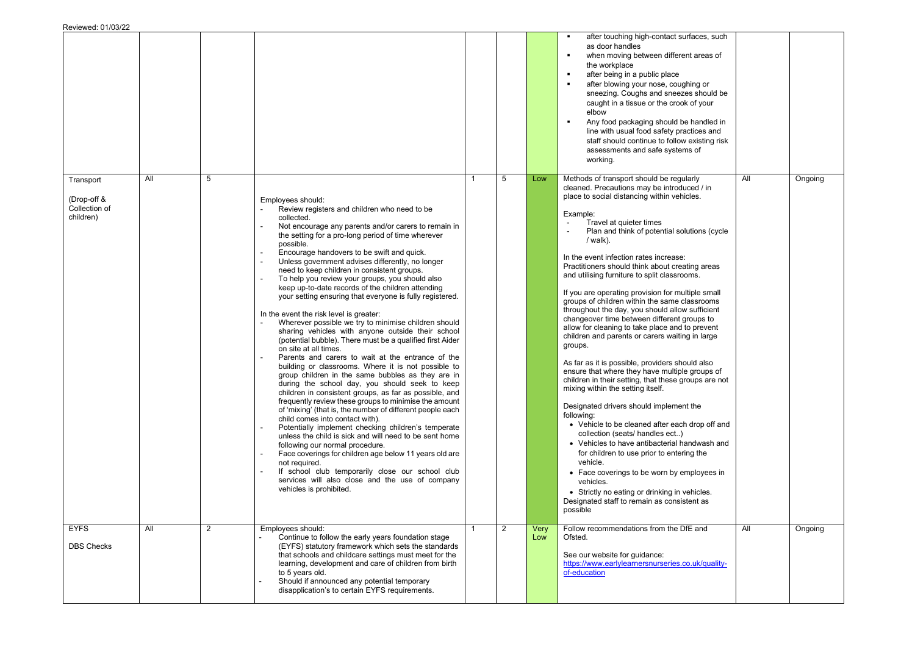|                                                        |     |   |                                                                                                                                                                                                                                                                                                                                                                                                                                                                                                                                                                                                                                                                                                                                                                                                                                                                                                                                                                                                                                                                                                                                                                                                                                                                                                                                                                                                                                                                                                                                                                                      |              |   |             | after touching high-contact surfaces, such<br>$\mathbf{r}$<br>as door handles<br>when moving between different areas of<br>$\blacksquare$<br>the workplace<br>after being in a public place<br>$\blacksquare$<br>after blowing your nose, coughing or<br>$\blacksquare$<br>sneezing. Coughs and sneezes should be<br>caught in a tissue or the crook of your<br>elbow<br>Any food packaging should be handled in<br>$\blacksquare$<br>line with usual food safety practices and<br>staff should continue to follow existing risk<br>assessments and safe systems of<br>working.                                                                                                                                                                                                                                                                                                                                                                                                                                                                                                                                                                                                                                                                                                                                                                                                |     |         |
|--------------------------------------------------------|-----|---|--------------------------------------------------------------------------------------------------------------------------------------------------------------------------------------------------------------------------------------------------------------------------------------------------------------------------------------------------------------------------------------------------------------------------------------------------------------------------------------------------------------------------------------------------------------------------------------------------------------------------------------------------------------------------------------------------------------------------------------------------------------------------------------------------------------------------------------------------------------------------------------------------------------------------------------------------------------------------------------------------------------------------------------------------------------------------------------------------------------------------------------------------------------------------------------------------------------------------------------------------------------------------------------------------------------------------------------------------------------------------------------------------------------------------------------------------------------------------------------------------------------------------------------------------------------------------------------|--------------|---|-------------|--------------------------------------------------------------------------------------------------------------------------------------------------------------------------------------------------------------------------------------------------------------------------------------------------------------------------------------------------------------------------------------------------------------------------------------------------------------------------------------------------------------------------------------------------------------------------------------------------------------------------------------------------------------------------------------------------------------------------------------------------------------------------------------------------------------------------------------------------------------------------------------------------------------------------------------------------------------------------------------------------------------------------------------------------------------------------------------------------------------------------------------------------------------------------------------------------------------------------------------------------------------------------------------------------------------------------------------------------------------------------------|-----|---------|
| Transport<br>(Drop-off &<br>Collection of<br>children) | All | 5 | Employees should:<br>Review registers and children who need to be<br>collected.<br>Not encourage any parents and/or carers to remain in<br>the setting for a pro-long period of time wherever<br>possible.<br>Encourage handovers to be swift and quick.<br>Unless government advises differently, no longer<br>need to keep children in consistent groups.<br>To help you review your groups, you should also<br>keep up-to-date records of the children attending<br>your setting ensuring that everyone is fully registered.<br>In the event the risk level is greater:<br>Wherever possible we try to minimise children should<br>sharing vehicles with anyone outside their school<br>(potential bubble). There must be a qualified first Aider<br>on site at all times.<br>Parents and carers to wait at the entrance of the<br>building or classrooms. Where it is not possible to<br>group children in the same bubbles as they are in<br>during the school day, you should seek to keep<br>children in consistent groups, as far as possible, and<br>frequently review these groups to minimise the amount<br>of 'mixing' (that is, the number of different people each<br>child comes into contact with).<br>Potentially implement checking children's temperate<br>unless the child is sick and will need to be sent home<br>following our normal procedure.<br>Face coverings for children age below 11 years old are<br>not required.<br>If school club temporarily close our school club<br>services will also close and the use of company<br>vehicles is prohibited. | $\mathbf{1}$ | 5 | Low         | Methods of transport should be regularly<br>cleaned. Precautions may be introduced / in<br>place to social distancing within vehicles.<br>Example:<br>Travel at quieter times<br>$\overline{\phantom{a}}$<br>Plan and think of potential solutions (cycle<br>/ walk).<br>In the event infection rates increase:<br>Practitioners should think about creating areas<br>and utilising furniture to split classrooms.<br>If you are operating provision for multiple small<br>groups of children within the same classrooms<br>throughout the day, you should allow sufficient<br>changeover time between different groups to<br>allow for cleaning to take place and to prevent<br>children and parents or carers waiting in large<br>groups.<br>As far as it is possible, providers should also<br>ensure that where they have multiple groups of<br>children in their setting, that these groups are not<br>mixing within the setting itself.<br>Designated drivers should implement the<br>following:<br>• Vehicle to be cleaned after each drop off and<br>collection (seats/ handles ect)<br>• Vehicles to have antibacterial handwash and<br>for children to use prior to entering the<br>vehicle.<br>• Face coverings to be worn by employees in<br>vehicles.<br>• Strictly no eating or drinking in vehicles.<br>Designated staff to remain as consistent as<br>possible | All | Ongoing |
| <b>EYFS</b><br><b>DBS Checks</b>                       | All | 2 | Employees should:<br>Continue to follow the early years foundation stage<br>(EYFS) statutory framework which sets the standards<br>that schools and childcare settings must meet for the<br>learning, development and care of children from birth<br>to 5 years old.<br>Should if announced any potential temporary<br>disapplication's to certain EYFS requirements.                                                                                                                                                                                                                                                                                                                                                                                                                                                                                                                                                                                                                                                                                                                                                                                                                                                                                                                                                                                                                                                                                                                                                                                                                | $\mathbf 1$  | 2 | Very<br>Low | Follow recommendations from the DfE and<br>Ofsted.<br>See our website for guidance:<br>https://www.earlylearnersnurseries.co.uk/quality-<br>of-education                                                                                                                                                                                                                                                                                                                                                                                                                                                                                                                                                                                                                                                                                                                                                                                                                                                                                                                                                                                                                                                                                                                                                                                                                       | All | Ongoing |